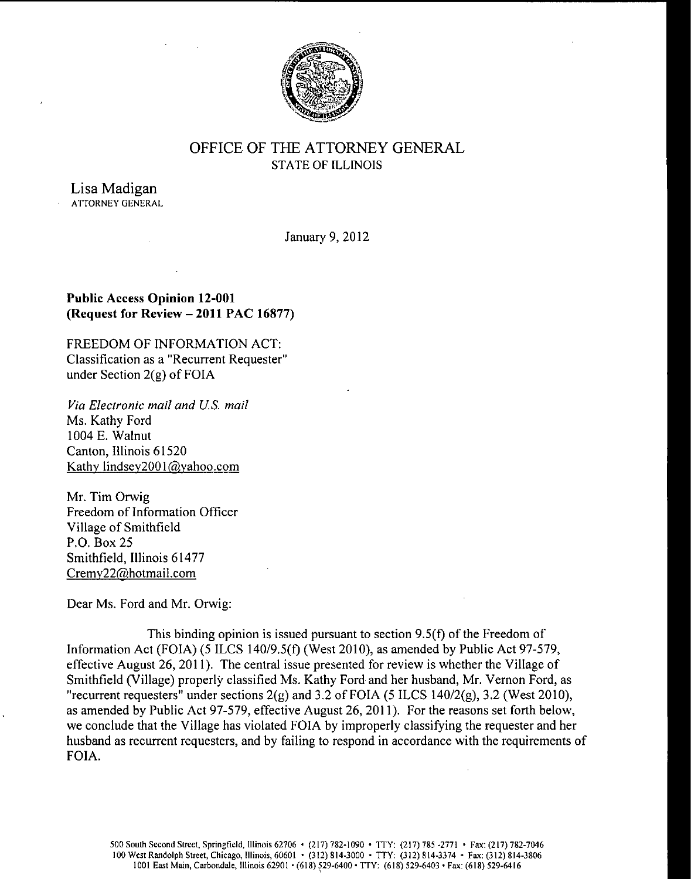

# OFFICE OF THE ATTORNEY GENERAL STATE OF ILLINOIS

Lisa Madigan ATTORNEY GENERAL

January 9, 2012

## Public Access Opinion 12-001 Request for Review —2011 PAC 16877)

FREEDOM OF INFORMATION ACT: Classification as a " Recurrent Requester" under Section  $2(g)$  of FOIA

Via Electronic mail and US. mail Ms. Kathy Ford 1004 E. Walnut Canton, Illinois 61520 Kathy lindsey2001@yahoo.com

Mr. Tim Orwig Freedom of Information Officer Village of Smithfield P.O. Box 25 Smithfield, Illinois 61477 Cremy22@hotmail. com

Dear Ms. Ford and Mr. Orwig:

This binding opinion is issued pursuant to section  $9.5(f)$  of the Freedom of Information Act (FOIA) (5 ILCS 140/9.5(f) (West 2010), as amended by Public Act 97-579, effective August 26, 2011). The central issue presented for review is whether the Village of Smithfield (Village) properly classified Ms. Kathy Ford and her husband, Mr. Vernon Ford, as "recurrent requesters" under sections  $2(g)$  and 3.2 of FOIA (5 ILCS 140/2 $(g)$ , 3.2 (West 2010), as amended by Public Act 97-579, effective August 26, 2011). For the reasons set forth below, we conclude that the Village has violated FOIA by improperly classifying the requester and her husband as recurrent requesters, and by failing to respond in accordance with the requirements of FOIA.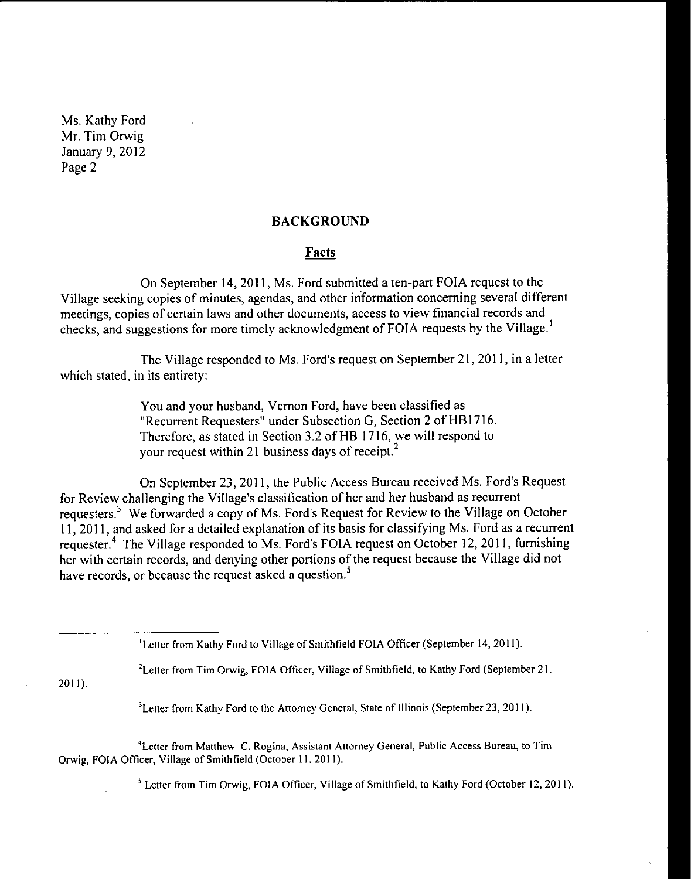## BACKGROUND

#### Facts

On September 14, 2011, Ms. Ford submitted a ten-part FOIA request to the Village seeking copies of minutes, agendas, and other information concerning several different meetings, copies of certain laws and other documents, access to view financial records and checks, and suggestions for more timely acknowledgment of FOIA requests by the Village.'

The Village responded to Ms. Ford's request on September 21, 2011, in a letter which stated, in its entirety:

> You and your husband, Vernon Ford, have been classified as Recurrent Requesters" under Subsection G, Section <sup>2</sup> of HB1716. Therefore, as stated in Section 3.2 of HB 1716, we will respond to your request within 21 business days of receipt.<sup>2</sup>

On September 23, 2011, the Public Access Bureau received Ms. Ford's Request for Review challenging the Village's classification of her and her husband as recurrent requesters.<sup>3</sup> We forwarded a copy of Ms. Ford's Request for Review to the Village on October 11, 2011, and asked for <sup>a</sup> detailed explanation of its basis for classifying Ms. Ford as <sup>a</sup> recurrent requester.<sup>4</sup> The Village responded to Ms. Ford's FOIA request on October 12, 2011, furnishing her with certain records, and denying other portions of the request because the Village did not have records, or because the request asked a question.<sup>5</sup>

<sup>1</sup>Letter from Kathy Ford to Village of Smithfield FOIA Officer (September 14, 2011).

<sup>2</sup>Letter from Tim Orwig, FOIA Officer, Village of Smithfield, to Kathy Ford (September 21,

2011).

<sup>3</sup>Letter from Kathy Ford to the Attorney General, State of Illinois (September 23, 2011).

<sup>4</sup>Letter from Matthew C. Rogina, Assistant Attorney General, Public Access Bureau, to Tim Orwig, FOIA Officer, Village of Smithfield( October 11, 2011).

<sup>5</sup> Letter from Tim Orwig, FOIA Officer, Village of Smithfield, to Kathy Ford (October 12, 2011)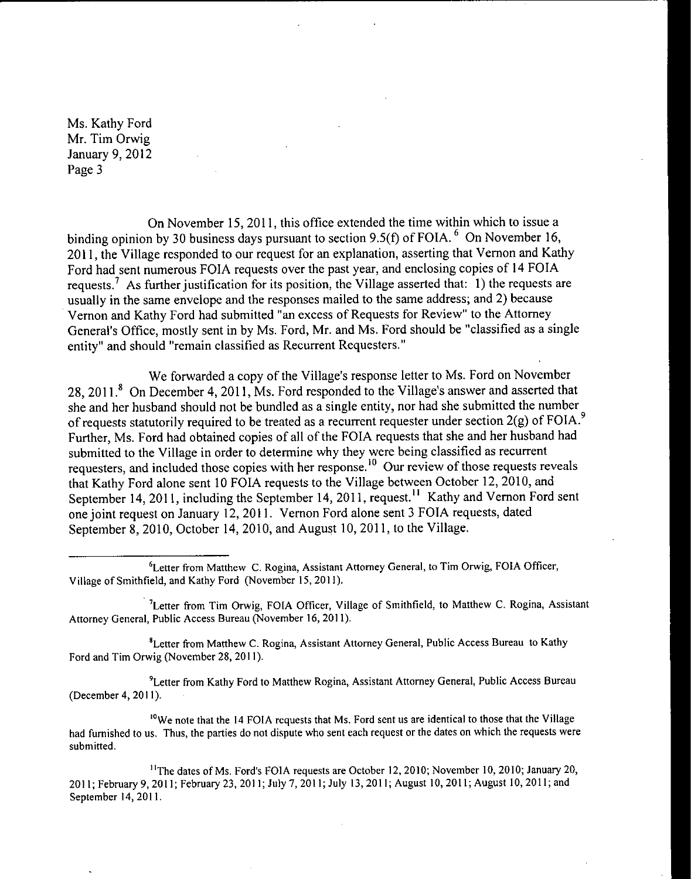On November 15, 2011, this office extended the time within which to issue a binding opinion by 30 business days pursuant to section 9.5(f) of FOIA.  $6$  On November 16, 2011, the Village responded to our request for an explanation, asserting that Vernon and Kathy Ford had sent numerous FOIA requests over the past year, and enclosing copies of <sup>14</sup> FOIA requests.<sup>7</sup> As further justification for its position, the Village asserted that: 1) the requests are usually in the same envelope and the responses mailed to the same address; and 2) because Vernon and Kathy Ford had submitted "an excess of Requests for Review" to the Attorney General's Office, mostly sent in by Ms. Ford, Mr. and Ms. Ford should be "classified as a single entity" and should "remain classified as Recurrent Requesters."

We forwarded a copy of the Village's response letter to Ms. Ford on November 28, 2011.<sup>8</sup> On December 4, 2011, Ms. Ford responded to the Village's answer and asserted that she and her husband should not be bundled as a single entity, nor had she submitted the number of requests statutorily required to be treated as a recurrent requester under section  $2(g)$  of FOIA.<sup>9</sup> Further, Ms. Ford had obtained copies of all of the FOIA requests that she and her husband had submitted to the Village in order to determine why they were being classified as recurrent requesters, and included those copies with her response.<sup>10</sup> Our review of those requests reveals that Kathy Ford alone sent 10 FOIA requests to the Village between October 12, 2010, and September 14, 2011, including the September 14, 2011, request.<sup>11</sup> Kathy and Vernon Ford sent one joint request on January 12, 2011. Vernon Ford alone sent <sup>3</sup> FOIA requests, dated September 8, 2010, October 14, 2010, and August 10, 2011, to the Village.

<sup>8</sup>Letter from Matthew C. Rogina, Assistant Attorney General, Public Access Bureau to Kathy Ford and Tim Orwig( November 28, 2011).

9Letter from Kathy Ford to Matthew Rogina, Assistant Attorney General, Public Access Bureau December 4, 2011).

<sup>10</sup>We note that the 14 FOIA requests that Ms. Ford sent us are identical to those that the Village had furnished to us. Thus, the parties do not dispute who sent each request or the dates on which the requests were submitted.

<sup>11</sup>The dates of Ms. Ford's FOIA requests are October 12, 2010; November 10, 2010; January 20, 2011; February 9, 2011; February 23, 2011; July 7, 2011; July 13, 2011; August 10, 2011; August 10, 2011; and September 14, 2011.

<sup>&</sup>lt;sup>6</sup>Letter from Matthew C. Rogina, Assistant Attorney General, to Tim Orwig, FOIA Officer, Village of Smithfield, and Kathy Ford ( November 15, 2011).

<sup>&</sup>lt;sup>7</sup>Letter from Tim Orwig, FOIA Officer, Village of Smithfield, to Matthew C. Rogina, Assistant Attorney General, Public Access Bureau( November 16, 2011).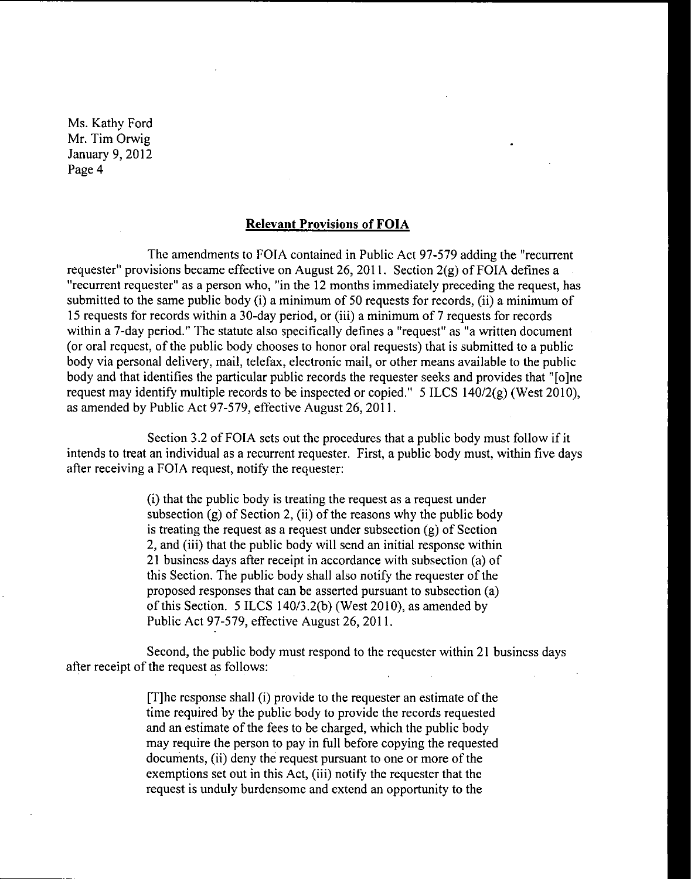### Relevant Provisions of FOIA

The amendments to FOIA contained in Public Act 97-579 adding the "recurrent" requester" provisions became effective on August 26, 2011. Section  $2(g)$  of FOIA defines a "recurrent requester" as a person who, "in the 12 months immediately preceding the request, has submitted to the same public body (i) a minimum of 50 requests for records, (ii) a minimum of <sup>15</sup> requests for records within <sup>a</sup> 30- day period, or (iii) a minimum of <sup>7</sup> requests for records within a 7-day period." The statute also specifically defines a "request" as "a written document or oral request, of the public body chooses to honor oral requests) that is submitted to <sup>a</sup> public body via personal delivery, mail, telefax, electronic mail, or other means available to the public body and that identifies the particular public records the requester seeks and provides that "[o]ne request may identify multiple records to be inspected or copied."  $5$  ILCS 140/2(g) (West 2010), as amended by Public Act 97-579, effective August 26, 2011.

Section 3.2 of FOIA sets out the procedures that a public body must follow if it intends to treat an individual as a recurrent requester. First, a public body must, within five days after receiving a FOIA request, notify the requester:

> i) that the public body is treating the request as a request under subsection (g) of Section 2, (ii) of the reasons why the public body is treating the request as a request under subsection  $(g)$  of Section 2, and (iii) that the public body will send an initial response within <sup>21</sup> business days after receipt in accordance with subsection (a) of this Section. The public body shall also notify the requester of the proposed responses that can be asserted pursuant to subsection ( a) of this Section. 5 ILCS 140/3.2(b) (West 2010), as amended by Public Act 97-579, effective August 26, 2011.

Second, the public body must respond to the requester within 21 business days after receipt of the request as follows:

> [T] he response shall (i) provide to the requester an estimate of the time required by the public body to provide the records requested and an estimate of the fees to be charged, which the public body may require the person to pay in full before copying the requested documents, (ii) deny the request pursuant to one or more of the exemptions set out in this Act, (iii) notify the requester that the request is unduly burdensome and extend an opportunity to the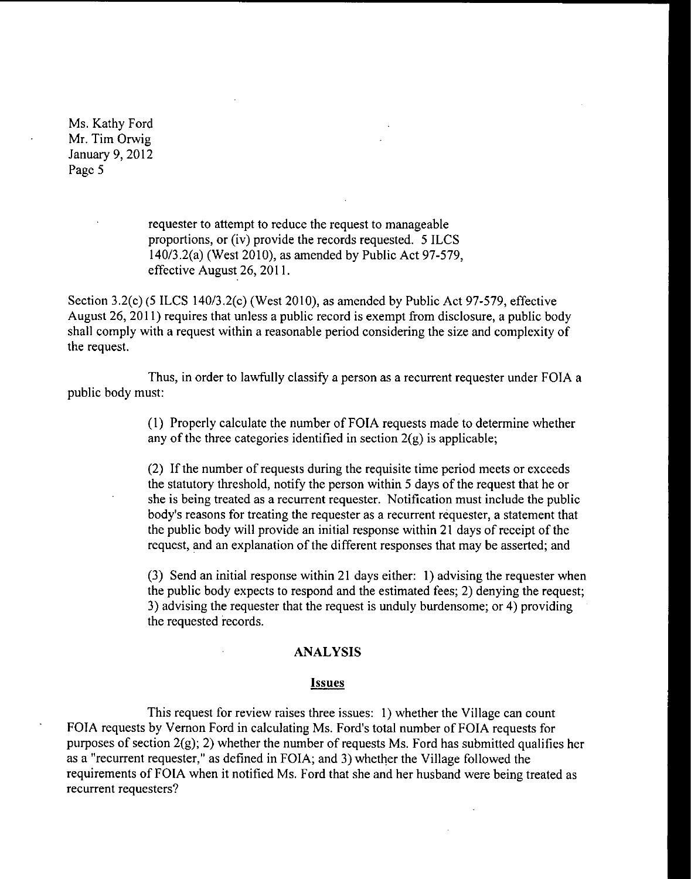> requester to attempt to reduce the request to manageable proportions, or (iv) provide the records requested. 5 ILCS 140/3.2(a) (West 2010), as amended by Public Act 97-579, effective August 26, 2011.

Section 3.2(c)(5 ILCS 140/3.2(c)(West 2010), as amended by Public Act 97-579, effective August 26, 2011) requires that unless <sup>a</sup> public record is exempt from disclosure, a public body shall comply with <sup>a</sup> request within <sup>a</sup> reasonable period considering the size and complexity of the request.

Thus, in order to lawfully classify a person as a recurrent requester under FOIA a public body must:

> 1) Properly calculate the number of FOIA requests made to determine whether any of the three categories identified in section  $2(g)$  is applicable;

2) If the number of requests during the requisite time period meets or exceeds the statutory threshold, notify the person within <sup>5</sup> days of the request that he or she is being treated as a recurrent requester. Notification must include the public body's reasons for treating the requester as a recurrent requester, a statement that the public body will provide an initial response within <sup>21</sup> days of receipt of the request, and an explanation of the different responses that may be asserted; and

3) Send an initial response within 21 days either: 1) advising the requester when the public body expects to respond and the estimated fees; 2) denying the request; 3) advising the requester that the request is unduly burdensome; or 4) providing the requested records.

## ANALYSIS

#### Issues

This request for review raises three issues: 1) whether the Village can count FOIA requests by Vernon Ford in calculating Ms. Ford's total number of FOIA requests for purposes of section 2(g); 2) whether the number of requests Ms. Ford has submitted qualifies her as a " recurrent requester," as defined in FOIA; and 3) whether the Village followed the requirements of FOIA when it notified Ms. Ford that she and her husband were being treated as recurrent requesters?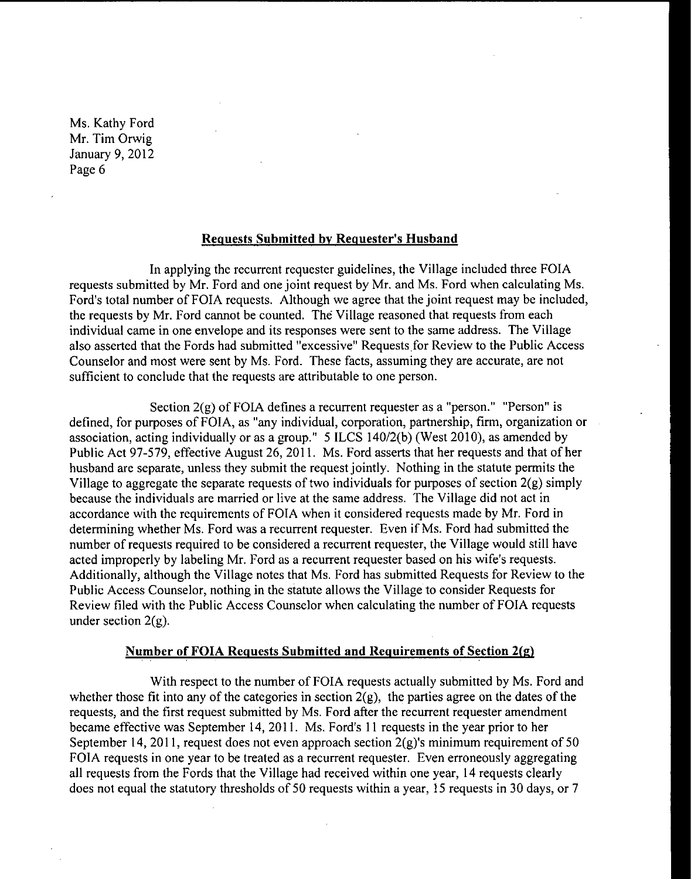## Requests Submitted by Requester's Husband

In applying the recurrent requester guidelines, the Village included three FOIA requests submitted by Mr. Ford and one joint request by Mr. and Ms. Ford when calculating Ms. Ford's total number of FOIA requests. Although we agree that the joint request may be included, the requests by Mr. Ford cannot be counted. The Village reasoned that requests from each individual came in one envelope and its responses were sent to the same address. The Village also asserted that the Fords had submitted "excessive" Requests for Review to the Public Access Counselor and most were sent by Ms. Ford. These facts, assuming they are accurate, are not sufficient to conclude that the requests are attributable to one person.

Section  $2(g)$  of FOIA defines a recurrent requester as a "person." "Person" is defined, for purposes of FOIA, as "any individual, corporation, partnership, firm, organization or association, acting individually or as a group." 5 ILCS 140/2(b) (West 2010), as amended by Public Act 97-579, effective August 26, 2011. Ms. Ford asserts that her requests and that of her husband are separate, unless they submit the request jointly. Nothing in the statute permits the Village to aggregate the separate requests of two individuals for purposes of section  $2(g)$  simply because the individuals are married or live at the same address. The Village did not act in accordance with the requirements of FOIA when it considered requests made by Mr. Ford in determining whether Ms. Ford was <sup>a</sup> recurrent requester. Even if Ms. Ford had submitted the number of requests required to be considered a recurrent requester, the Village would still have acted improperly by labeling Mr. Ford as a recurrent requester based on his wife's requests. Additionally, although the Village notes that Ms. Ford has submitted Requests for Review to the Public Access Counselor, nothing in the statute allows the Village to consider Requests for Review filed with the Public Access Counselor when calculating the number of FOIA requests under section  $2(g)$ .

#### Number of FOIA Requests Submitted and Requirements of Section 2(g)

With respect to the number of FOIA requests actually submitted by Ms. Ford and whether those fit into any of the categories in section  $2(g)$ , the parties agree on the dates of the requests, and the first request submitted by Ms. Ford after the recurrent requester amendment became effective was September 14, 2011. Ms. Ford's <sup>11</sup> requests in the year prior to her September 14, 2011, request does not even approach section  $2(g)$ 's minimum requirement of 50 FOIA requests in one year to be treated as a recurrent requester. Even erroneously aggregating all requests from the Fords that the Village had received within one year, 14 requests clearly does not equal the statutory thresholds of <sup>50</sup> requests within <sup>a</sup> year, <sup>15</sup> requests in <sup>30</sup> days, or <sup>7</sup>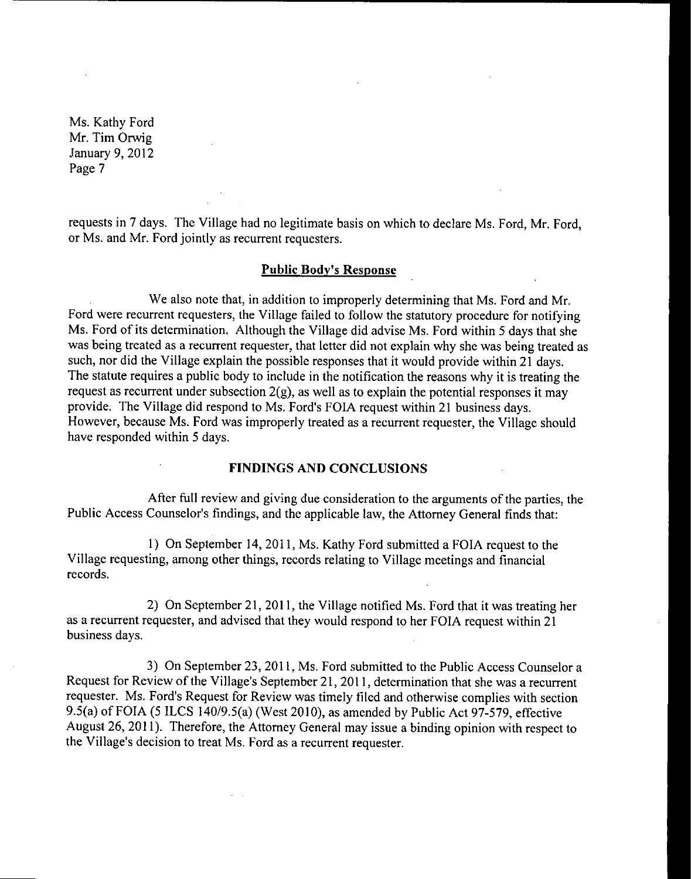requests in 7 days. The Village had no legitimate basis on which to declare Ms. Ford, Mr. Ford, or Ms. and Mr. Ford jointly as recurrent requesters.

## Public Body's Response

We also note that, in addition to improperly determining that Ms. Ford and Mr. Ford were recurrent requesters, the Village failed to follow the statutory procedure for notifying Ms. Ford of its determination. Although the Village did advise Ms. Ford within <sup>5</sup> days that she was being treated as a recurrent requester, that letter did not explain why she was being treated as such, nor did the Village explain the possible responses that it would provide within 21 days. The statute requires a public body to include in the notification the reasons why it is treating the request as recurrent under subsection  $2(g)$ , as well as to explain the potential responses it may provide. The Village did respond to Ms. Ford's FOIA request within 21 business days. However, because Ms. Ford was improperly treated as a recurrent requester, the Village should have responded within <sup>5</sup> days.

### FINDINGS AND CONCLUSIONS

After full review and giving due consideration to the arguments of the parties, the Public Access Counselor's findings, and the applicable law, the Attorney General finds that:

1) On September 14, 2011, Ms. Kathy Ford submitted a FOIA request to the Village requesting, among other things, records relating to Village meetings and financial records.

2) On September 21, 2011, the Village notified Ms. Ford that it was treating her as <sup>a</sup> recurrent requester, and advised that they would respond to her FOIA request within 21 business days.

3) On September 23, 2011, Ms. Ford submitted to the Public Access Counselor a Request for Review of the Village's September 21, 2011, determination that she was a recurrent requester. Ms. Ford's Request for Review was timely filed and otherwise complies with section 9.5(a) of FOIA (5 ILCS 140/9.5(a) (West 2010), as amended by Public Act 97-579, effective August 26, 2011). Therefore, the Attorney General may issue <sup>a</sup> binding opinion with respect to the Village's decision to treat Ms. Ford as a recurrent requester.